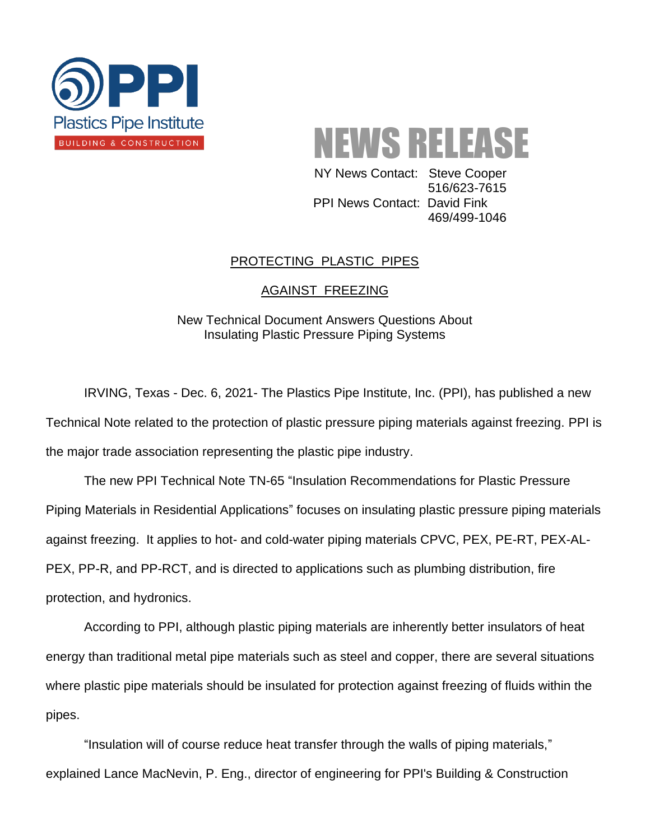

NEWS RELEASE

 NY News Contact: Steve Cooper 516/623-7615 PPI News Contact: David Fink 469/499-1046

## PROTECTING PLASTIC PIPES

## AGAINST FREEZING

New Technical Document Answers Questions About Insulating Plastic Pressure Piping Systems

IRVING, Texas - Dec. 6, 2021- The Plastics Pipe Institute, Inc. (PPI), has published a new Technical Note related to the protection of plastic pressure piping materials against freezing. PPI is the major trade association representing the plastic pipe industry.

The new PPI Technical Note TN-65 "Insulation Recommendations for Plastic Pressure Piping Materials in Residential Applications" focuses on insulating plastic pressure piping materials against freezing. It applies to hot- and cold-water piping materials CPVC, PEX, PE-RT, PEX-AL-PEX, PP-R, and PP-RCT, and is directed to applications such as plumbing distribution, fire protection, and hydronics.

According to PPI, although plastic piping materials are inherently better insulators of heat energy than traditional metal pipe materials such as steel and copper, there are several situations where plastic pipe materials should be insulated for protection against freezing of fluids within the pipes.

"Insulation will of course reduce heat transfer through the walls of piping materials," explained Lance MacNevin, P. Eng., director of engineering for PPI's Building & Construction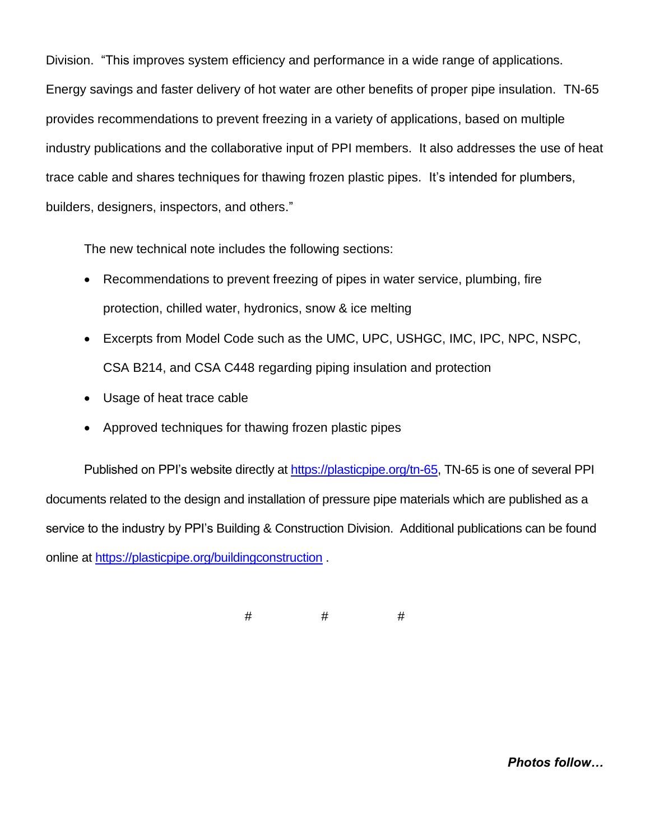Division. "This improves system efficiency and performance in a wide range of applications. Energy savings and faster delivery of hot water are other benefits of proper pipe insulation. TN-65 provides recommendations to prevent freezing in a variety of applications, based on multiple industry publications and the collaborative input of PPI members. It also addresses the use of heat trace cable and shares techniques for thawing frozen plastic pipes. It's intended for plumbers, builders, designers, inspectors, and others."

The new technical note includes the following sections:

- Recommendations to prevent freezing of pipes in water service, plumbing, fire protection, chilled water, hydronics, snow & ice melting
- Excerpts from Model Code such as the UMC, UPC, USHGC, IMC, IPC, NPC, NSPC, CSA B214, and CSA C448 regarding piping insulation and protection
- Usage of heat trace cable
- Approved techniques for thawing frozen plastic pipes

Published on PPI's website directly at [https://plasticpipe.org/tn-65,](https://plasticpipe.org/tn-65) TN-65 is one of several PPI documents related to the design and installation of pressure pipe materials which are published as a service to the industry by PPI's Building & Construction Division. Additional publications can be found online at<https://plasticpipe.org/buildingconstruction>.

# # #

*Photos follow…*